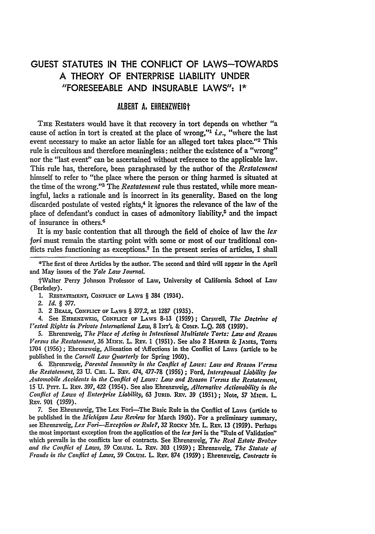## **GUEST STATUTES IN** THE **CONFLICT** OF LAWS-TOWARDS **A** THEORY OF ENTERPRISE LIABILITY **UNDER** "FORESEEABLE **AND INSURABLE** LAWS": **I\***

## ALBERT **A.** EHRENZWEIGi

THE Restaters would have it that recovery in tort depends on whether "a cause of action in tort is created at the place of wrong,"<sup>1</sup> *i.e.*, "where the last event necessary to make an actor liable for an alleged tort takes place."<sup>2</sup> This rule is circuitous and therefore meaningless: neither the existence of a "wrong" nor the "last event" can be ascertained without reference to the applicable law. This rule has, therefore, been paraphrased by the author of the *Restatemcnt* himself to refer to "the place where the person or thing harmed is situated at the time of the wrong."<sup>3</sup> The *Restatement* rule thus restated, while more meaningful, lacks a rationale and is incorrect in its generality. Based on the long discarded postulate of vested rights,<sup>4</sup> it ignores the relevance of the law of the place of defendant's conduct in cases of admonitory liability,<sup>5</sup> and the impact of insurance in others. <sup>6</sup>

It is my basic contention that all through the field of choice of law the *lex fori* must remain the starting point with some or most of our traditional conflicts rules functioning as exceptions.<sup>7</sup> In the present series of articles, I shall

\*The first of three Articles by the author. The second and third will appear in the April and May issues of the *Yale Law Journal*.

tWalter Perry Johnson Professor of Law, University of California School of Law (Berkeley).

1. RESTATEMENT, CONFLICT OF LAWS § 384 (1934).

*2. Id. § 377.*

3. 2 BEALE, CONFLICT OF LAWS § 377.2, at 1287 (1935).

4. See **EHREEzwEiG, CoNFLICr OF LAWS 8-13 (1959);** Carswell, *The Doctrine of Vested Rights in Private International Law,* **8 INT'L** & ComP. **L.Q. 268 (1959).**

**5.** Ehrenzweig, *The Place of Actin9 in Intentional* Multistate Torts: *Law and Rcason Versus the Restatement,* **36** Mixx. L. REv. **1 (1951).** See also 2 **HAWER** & **JA^Es, Tonr** 1704 **(1956)** ; Ehrenzweig, Alienation of Affections in the Conflict of Laws (article to be published in the *Cornell Law Quarterly* **for** Spring **1960).**

**6.** Ehrenzweig, *Parental Immunity in the Conflict of Laws: Law and Reason Versus the Restatement,* **23 U.** Cm. L. REv. 474, 477-78 (1956) ; Ford, *Interspousal Liability for Automobile Accidents in the Conflict of Laws: Law and Reason Versus the Restatement,* 15 U. PITT. L. REV. 397, 422 (1954). See also Ehrenzweig, *Alternative Actionability in the Conflict of Laws of Enterprise Liability, 63 JURID. REv. 39 (1951): Note, 57 MICH. L.* **REv.** 901 (1959).

7. See Ehrenzweig, The Lex Fori-The Basic Rule in the Conflict of Laws (article to be published in the *Mfichigan Law Review* for March 1960). For a preliminary summary, see Ehrenzweig, Lex Fori-Exception or Rule?, 32 Rocky Mr. L. REv. 13 (1959). Perhaps the most important exception from the application of the *lex fori* is the "Rule **of** Validation" which prevails in the conflicts law of contracts. See Ehrenzweig, *The Real Estate Broker* and the Conflict of Laws, 59 Colum. L. Rev. 303 (1959); Ehrenzweig, The Statute of *Frauds in the Conflict of Laws,* 59 **COLUM.** L. Rsv. 874 (1959) ; Ehrenzweig, *Contracts in*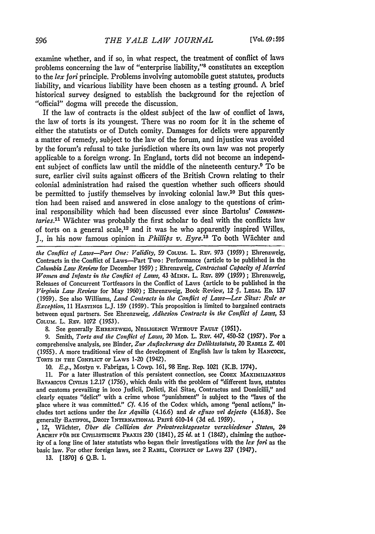examine whether, and if so, in what respect, the treatment of conflict of laws problems concerning the law of "enterprise liability,"<sup>8</sup> constitutes an exception to the *lex fori* principle. Problems involving automobile guest statutes, products liability, and vicarious liability have been chosen as a testing ground. A brief historical survey designed to establish the background for the rejection of "official" dogma will precede the discussion.

If the law of contracts is the oldest subject of the law of conflict of laws, the law of torts is its youngest. There was no room for it in the scheme of either the statutists or of Dutch comity. Damages for delicts were apparently a matter of remedy, subject to the law of the forum, and injustice was avoided **by** the forum's refusal to take jurisdiction where its own law was not properly applicable to a foreign wrong. In England, torts did not become an independent subject of conflicts law until the middle of the nineteenth century.9 To be sure, earlier civil suits against officers of the British Crown relating to their colonial administration had raised the question whether such officers should be permitted to justify themselves **by** invoking colonial law.10 But this question had been raised and answered in close analogy to the questions of criminal responsibility which had been discussed ever since Bartolus' *Comncntaries.*<sup>11</sup> Wächter was probably the first scholar to deal with the conflicts law of torts on a general scale,12 and it was he who apparently inspired Willes, J., in his now famous opinion in *Phillips v. Eyre.18* To 'both Wfichter and

*the Conflict of Laws-Part One: Validity,* **59 CoLum.** L. REv. *973* (1959); Ehrenzweig, Contracts in the Conflict of Laws-Part Two: Performance (article to be published in the *Columbia Law Review* for December **1959) ;** Ehrenzweig, *Contractual Capacity of Married Women and Infants in the Conflict of Laws,* 43 *MINN.* L. Rav. 899 (1959) **;** Ehrenzweig, Releases of Concurrent Tortfeasors in the Conflict of Laws (article to be published in the *Virginia Law Review* for May 1960); Ehrenzweig, Book Review, 12 J. **LEGAL** ED. 137 (1959). See also Williams, *Land Contracts in the Conflict of Laws-Lex Situls: Rile or Exception,* 11 **HASTINGs** L.J. **159** (1959). This proposition is limited to bargained contracts between equal partners. See Ehrenzweig, *Adhesion Contracts in the Conflict of Laws, 53* COLUM. L. REV. 1072 (1953).

8. See generally **EHRENZWEIG**, NEGLIGENCE WITHOUT FAULT (1951).

9. Smith, *Torts and the Conflict of Laws*, 20 MoD. L. REv. 447, 450-52 (1957). For a comprehensive analysis, see Binder, *Zur Auflockerung des Deliktsstatuts,* 20 **RAELs** Z, 401 (1955). A more traditional view of the development of English law is taken by **HANCOCK,** TORTS IN **THE CONFLIcr OF** LAWS 1-20 (1942).

10. *E.g.,* Mostyn v. Fabrigas, 1. Cowp. 161, 98 Eng. Rep. 1021 (K.B. 1774).

11. For a later illustration of this persistent connection, see **CODEX** MAXIMILIANEUS BAVARICUS CIVILIS 1.2.17 (1756), which deals with the problem of "different laws, statutes and customs prevailing in loco Judicii, Delicti, Rei Sitae, Contractus and Domicili," and clearly equates "delict" with a crime whose "punishment" is subject to the "laws of the place where it was committed." *Cf.* 4.16 of the Codex which, among "penal actions," includes tort actions under the *lex Aquilia* (4.16.6) and *de effuso vel dejecto* (4.16.8). **See** generally BATIFFOL, DROIT INTERNATIONAL PRIVÉ 610-14 (3d ed. 1959).

t 12, Wfchter, *Ober die Collision der Privatrechtsgesetce vcrschiedener Staten, 24* ARCHIV FÜR DIE CIVILISTISCHE PRAXIS 230 (1841), 25 *id.* at 1 (1842), claiming the authority of a long line of later statutists who began their investigations with the *lex fori* as the basic law. For other foreign laws, see 2 RABEL, CONFLICT OF LAWS 237 (1947).

**13.** [1870] 6 **Q.B. 1.**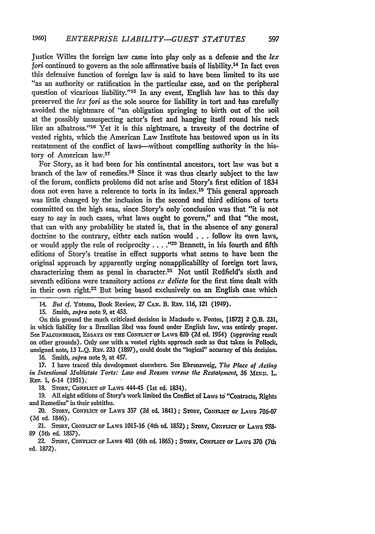Justice Willes the foreign law came into play only as a defense and the  $lex$ fori continued to govern as the sole affirmative basis of liability.<sup>14</sup> In fact even this defensive function of foreign law is said to have been limited to its use "as an authority or ratification in the particular case, and on the peripheral question of vicarious liability."<sup>15</sup> In any event, English law has to this day preserved the *lex* fori as the sole source for liability in tort and has carefully avoided the nightmare of "an obligation springing to birth out of the soil at the possibly unsuspecting actor's feet and hanging itself round his neck like an albatross."<sup>16</sup> Yet it is this nightmare, a travesty of the doctrine of vested rights, which the American Law Institute has bestowed upon us in its restatement of the conflict of laws-without compelling authority in the history of American law.<sup>17</sup>

For Story, as it had been for his continental ancestors, tort law was but a branch of the law of remedies.<sup>18</sup> Since it was thus clearly subject to the law of the forum, conflicts problems did not arise and Story's first edition of 1834 does not even have a reference to torts in its index.<sup>10</sup> This general approach was little changed by the inclusion in the second and third editions of torts committed on the high seas, since Story's only conclusion was that "it is not easy to say in such cases, what laws ought to govern," and that "the most, that can with any probability be stated is, that in the absence of any general doctrine to the contrary, either each nation would **. . .** follow its own laws, or would apply the rule of reciprocity **.... ."20** Bennett, in his fourth and fifth editions of Story's treatise in effect supports what seems to have been the original approach **by** apparently urging nonapplicability of foreign tort laws, characterizing them as penal in character. $21$  Not until Redfield's sixth and seventh editions were transitory actions ex *delicto* for the first time dealt with in their own right.<sup>22</sup> But being based exclusively on an English case which

**15.** Smith, *supra* note **9,** at 453.

On this ground the much criticized decision in Machado v. Fontes, [1872] 2 **Q.B. 231,** in which liability for a Brazilian libel was found under English law, was entirely proper. See **FALcoNBRiDGE,** ESSAYS **ON THE CONFLICT** OF LAws **820 (2d** ed. 1954) (approving result on other grounds). Only one with a vested rights approach such as that taken in Pollock, unsigned note, 13 L.Q. REv. 233 (1897), could doubt the "logical" accuracy of this decision.

**16.** Smith, *supra* note **9,** at 457.

**17.** I have traced this development elsewhere. See Ehrenzweig, The *Place of Acisng in Intentional ifultistate Torts: 'Law and Reason versts* **the** *Restatment,* **36** *MIN:.* L REv. **1,** 6-14 (1951).

18. STORY, CONFLICT OF LAWS 444-45 (1st ed. 1834).

19. All eight editions of Story's work limited the Conflict of Laws to "Contracts, Rights and Remedies" in their subtitles.

20. STORY, CONFLICT OF LAWS 357 (2d ed. 1841) **; STORY, CONFLICT OF LAWS 706-07** (3d ed. 1846).

21. STORY, CoNLicr **OF** LAws **1015-16** (4th ed. **1852)** ; STORY, CONFLICT **OF** LAws **99,&** 89 (5th ed. 1857).

22. STORY, CONFLICT OF LAWS 403 (6th ed. 1865); STORY, CONFLICT OF LAWS 370 (7th ed. 1872).

<sup>14.</sup> *But cf.* Yntema, Book Review, **27 CAN.** B. REv. **116,** 121 (1949).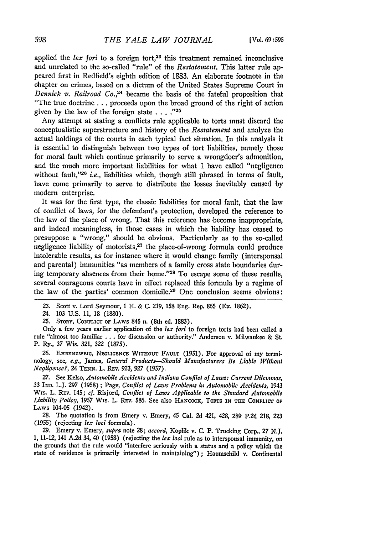applied the *lex fori* to a foreign tort,<sup>23</sup> this treatment remained inconclusive and unrelated to the so-called "rule" of the *Restatement.* This latter rule appeared first in Redfield's eighth edition of 1883. An elaborate footnote in the chapter on crimes, based on a dictum of the United States Supreme Court in *Dennick v. Railroad Co.,24* became the basis of the fateful proposition that "The true doctrine **...** proceeds upon the broad ground of the right of action given by the law of the foreign state  $\ldots$ .  $\cdot$ <sup>125</sup>

Any attempt at stating a conflicts rule applicable to torts must discard the conceptualistic superstructure and history of the *Restatement* and analyze the actual holdings of the courts in each typical fact situation. In this analysis it is essential to distinguish between two types of tort liabilities, namely those for moral fault which continue primarily to serve a wrongdoer's admonition, and the much more important liabilities for what I have called "negligence without fault,"<sup>26</sup> *i.e.*, liabilities which, though still phrased in terms of fault, have come primarily to serve to distribute the losses inevitably caused by modem enterprise.

It was for the first type, the classic liabilities for moral fault, that the law of conflict of laws, for the defendant's protection, developed the reference to the law of the place of wrong. That this reference has become inappropriate, and indeed meaningless, in those cases in which the liability has ceased to presuppose a "wrong," should be obvious. Particularly as to the so-called negligence liability of motorists,<sup>27</sup> the place-of-wrong formula could produce intolerable results, as for instance where it would change family (interspousal and parental) immunities "as members of a family cross state boundaries during temporary absences from their home."<sup>28</sup> To escape some of these results, several courageous courts have in effect replaced this formula by a regime of the law of the parties' common domicile.<sup>29</sup> One conclusion seems obvious:

24. 103 U.S. **11,** 18 (1880).

25. STORY, CONFLICT OF LAWS 845 n. (8th ed. 1883).

Only a few years earlier application of the *lex* fori to foreign torts had been called a rule "almost too familiar ... for discussion or authority." Anderson v. Milwaukee & St. P. Ry., 37 Wis. 321, 322 (1875).

26. EHRENZWEIG, **NEGLIGENCE** WITHouT FAULT (1951). For approval of my terminology, see, e.g., James, *General Products--Should Manufacturers Be Liable Without Negligence?,* 24 **TENN.** L. REv. 923, 927 (1957).

*27.* See Kelso, *Automobile Accidents and Indiana Conflict of Laws: Current Dilemmas,* **33** IND. L.J. **297 (1958) ;** Page, *Conflict of Laws Problems in Automobile Accidents,* 1943 Wis. L. **REv.** 145; *cf.* Risjord, *Conflict of Laws Applicable to the Standard Automobile Liability Policy,* **1957** Wis. L. Rrv. **586.** See also HANCOCK, TORTS IN **THE** CONFlICT OF LAws 104-05 (1942).

**28.** The quotation is from Emery v. Emery, 45 Cal. **2d** 421, 428, **289 P.2d** 218, **223** (1955) (rejecting *lex loci* formula).

**29.** Emery v. Emery, *supra* note 28; *accord,* Koplik v. **C.** P. Trucking Corp., **27 N.J. 1,** 11-12, 141 **A.2d** 34, 40 **(1958)** (rejecting the *lex loci* rule as to interspousal immunity, on the grounds that the rule would "interfere seriously with a status and a policy which the state of residence is primarily interested in maintaining"); Haumschild v. Continental

**<sup>23.</sup>** Scott v. Lord Seymour, 1 H. & C. 219, **158** Eng. Rep. 865 (Ex. 1862).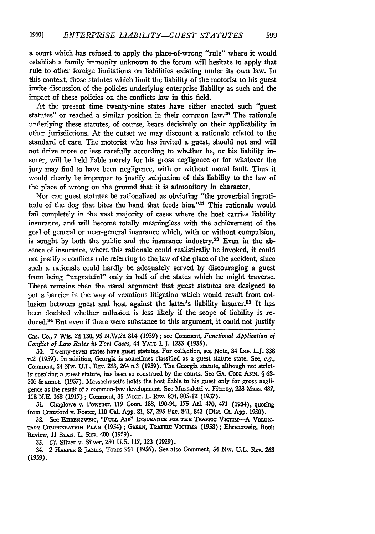a court which has refused to apply the place-of-wrong "rule" where it would establish a family immunity unknown to the forum will hesitate to apply that rule to other foreign limitations on liabilities existing under its own law. In this context, those statutes which limit the liability of the motorist to his guest invite discussion of the policies underlying enterprise liability as such and the impact of these policies on the conflicts law in this field.

At the present time twenty-nine states have either enacted such "guest statutes" or reached a similar position in their common law.30 The rationale underlying these statutes, of course, bears decisively on their applicability in other jurisdictions. At the outset **we** may discount a rationale related to the standard of care. The motorist who has invited a guest, should not and will not drive more or less carefully according to whether he, or his liability insurer, will be held liable merely for his gross negligence or for whatever the jury may find to have been negligence, with or without moral fault. Thus it would clearly be improper to justify subjection of this liability to the law of the place of wrong on the ground that it is admonitory in character.

Nor can guest statutes be rationalized as obviating "the proverbial ingratitude of the dog that bites the hand that feeds him."<sup>31</sup> This rationale would **fail** completely in the vast majority of cases where the host carries liability insurance, and will become totally meaningless with the achievement of the goal of general or near-general insurance which, with or without compulsion, is sought **by** both the public and the insurance industry.32 Even in the absence of insurance, where this rationale could realistically be invoked, it could not justify a conflicts rule referring to the law of the place of the accident, since such a rationale could hardly be adequately served **by** discouraging a guest from being "ungrateful" only in half of the states which he might traverse. There remains then the usual argument that guest statutes are designed to put a barrier in the way of vexatious litigation which would result from collusion between guest and host against the latter's liability insurer.<sup>33</sup> It has been doubted whether collusion is less likely if the scope of liability is reduced.<sup>34</sup> But even if there were substance to this argument, it could not justify

Cas. Co., **7** Wis. **2d 130, 95 N.WA2d** 814 **(1959) ;** see Comment, *Functional Application of Conflict of Law Rules in Tort Cases,* 44 **YALE** L.J. **1233 (1935).**

**30.** Twenty-seven states have guest statutes. For collection, see Note, 34 IxN. **LJ. 338** n2 **(1959).** In addition, Georgia is sometimes classified as a guest statute state. **See,** *e.g.,* Comment, **54** Nw. **U.L.** R-v. **263,** 264 n.3 **(1959).** The Georgia statute, although not strictly speaking a guest statute, has been so construed by the courts. See GA. CODE ANN. § 68-**301 &** annot. **(1957).** Massachusetts holds the host liable to his guest only for gross negligence as the result of a common-law development. See Massaletti v. Fitzroy, **228** Mass. 487, 118 N.E. 168 (1917); Comment, 35 Mrcn. L. REv. 804, 805-12 (1937).

**31.** Chaplowe v. Powsner, **1.19** Conn. **188, 190-91, 175 AtL** 470, 471 (1934), quoting from Crawford v. Foster, **110** Cal. **App. 81, 87, 293** Pac. 841, 843 (Dist. Ct. **App. 1930).**

32. See EHRENZWEIG, "FULL AID" INSURANCE FOR THE TRAFFIC VICTIM-A VOLUN-TARY COMPENSATION PLAN (1954) ; GREEN, TRAFFIC VICTIMS (1958) ; Ehrenzweig, Book Review, **11 STAN.** L. REV. 400 **(1959).**

**33.** *Cf.* Silver v. Silver, 280 **U.S. 117, 123 (1929).**

34. 2 HARPER **& JA Ss,** ToRTS **961 (1956).** See also Comment, 54 Nw. **U.L** Rav. **263 (1959).**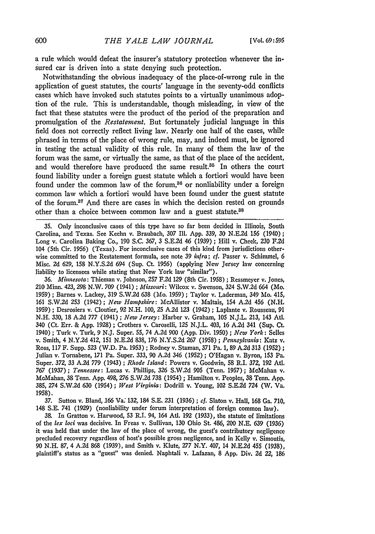a rule which would defeat the insurer's statutory protection whenever the insured car is driven into a state denying such protection.

Notwithstanding the obvious inadequacy of the place-of-wrong rule in the application of guest statutes, the courts' language in the seventy-odd conflicts cases which have invoked such statutes points to a virtually unanimous adoption of the rule. This is understandable, though misleading, in view of the fact that these statutes were the product of the period of the preparation and promulgation of the *Restatement.* But fortunately judicial language in this field does not correctly reflect living law. Nearly one half **of** the cases, while phrased in terms of the place of wrong rule, may, and indeed must, be ignored in testing the actual validity of this rule. In many of them the law **of** the forum was the same, or virtually the same, as that of the place of the accident, and would therefore have produced the same result.<sup>35</sup> In others the court found liability under a foreign guest statute which a fortiori would have been found under the common law of the forum, $36$  or nonliability under a foreign common law which a fortiori would have been found under the guest statute of the forum.<sup>37</sup> And there are cases in which the decision rested on grounds other than a choice between common law and a guest statute.<sup>38</sup>

**35.** Only inconclusive cases of this type have so far been decided in Illinois, South Carolina, and Texas. See Keehn v. Braubach, **307** Ill. App. **339, 30 N.E.2d** 156 (1940); Long v. Carolina Baking Co., **190 S.C. 367, 3 S.E.2d** 46 **(1939)** ; Hill v. **Cheek, 230 F.2d** 104 (5th Cir. **1956)** (Texas). For inconclusive cases of this kind from jurisdictions otherwise committed to the Restatement formula, see note **39** *infra; cf.* Passer v. Schimmel, **6** Misc. **Zd 629, 158 N.Y.S.2d** 694 (Sup. Ct. **1956)** (applying New Jersey law concerning liability to licensees while stating that New York law "similar").

**36.** *Minnesota:* Thieman v. Johnson, **257 F.2d 129** (8th Cir. **1958)** ; Ressmeyer v. Jones, 210 Minn. 423, **298** N.W. **709** (1941) **;** *Missouri:* Wilcox v. Swenson, 324 S.W.2d 664 (Mo. **1959)** ; Barnes v. Lackey, **319 S.W.2d 638** (Mo. **1959)** ; Taylor v. Laderman, 349 Mo. 415, **161 S.W.2d 253** (1942); *New Hampshire:* McAllister v. Maltais, 154 **A.2d** 456 **(N.H. 1959) ;** Desrosiers v. Cloutier, 92 **N.H. 100, 25 A.2d 123** (1942) ; Laplante **v.** Rousseau, 91 **N.H. 330, 18 A.2d 777** (1941) *; New Jersey:* Harber v. Graham, **105 N.J.L.** 213, 143 **Atl.** 340 (Ct. Err. & App. **1928);** Crothers v. Caroselli, **125 N.J.L.** 403, **16 A.2d** 341 (Sup. Ct. 1940) ; Turk v. Turk, 9 **N.J.** Super. **55,** 74 **A.2d 900 (App.** Div. **1950) ;** *New York:* Selles v. Smith, 4 **N.Y.2d** 412, 151 **N.E.2d 838, 176 N.Y.S.2d 267** (1958) **;** *Pennsylvania:* Katz v. Ross, 117 F. Supp. **523** (W.D. Pa. **1953)** ; Rodney v. Staman, **371** Pa. **1, 89 A.2d 313** (1952) **;** Julian v. Tornabene, **171** Pa. Super. **333, 90 A.2d** 346 (1952); O'Hagan v. Byron, **153** Pa. Super. **372, 33 A.2d 779** (1943) **;** *Rhode Island:* Powers v. Goodwin, 58 R.I. 372, 192 **Atl. 767 (1937);** *Tennessee:* Lucas v. Phillips, **326 S.W.2d 905** (Tenn. 1957); MeMahan v. McMahan, **38** Tenn. **App.** 498, **276 S.W.2d 738** (1954) ; Hamilton v. Peoples, **38** Tenn. App. **385,** 274 **S.W.2d 630** (1954) ; *West Virginia:* Dodrill v. Young, 102 S.E.d 724 (W. Va. **1958).**

**37.** Sutton v. Bland, **166** Va: 132, 184 **S.E. 231 (1936)** ; *cf.* Slaton v. Hall, **168** Ga. 710, 148 **S.E.** 741 (1929) (nonliability under forum interpretation of foreign common law).

**38.** In Gratton v. Harwood, **53** R.I. 94, 164 At. **192 (1933),** the statute of limitations of the *lex loci* was decisive. In Freas v. Sullivan, **130** Ohio St. 486, 200 **N.E. 639** (1936) it was held that under the law of the place of wrong, the guest's contributory negligence precluded recovery regardless of host's possible gross negligence, and in **Kelly v.** Simoutis, **90 N.H. 87,** 4 A.2\_d **868 (1.939),** and Smith v. Klute, 277 N.Y. 407, 14 **N.E.2d** 455 **(1938),** plaintiff's status as a "guest" was denied. Naphtali v. Lafazan, **8 App.** Div. **2d** 22, **186**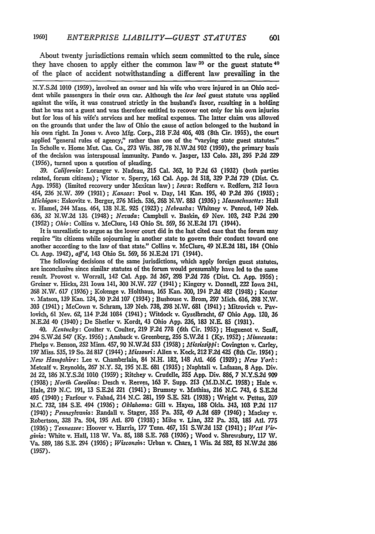About twenty jurisdictions remain which seem committed to the rule, since they have chosen to apply either the common law  $39$  or the guest statute  $40$ of the place of accident notwithstanding a different law prevailing in the

N.Y.S.2d 1010 (1959), involved an owner and his wife who were injured in an Ohio accident while passengers in their own car. Although the lex *loci* guest statute **was** applied against the wife, it was construed strictly in the husband's favor, resulting in a holding that he was not a guest and was therefore entitled to recover not only for his own injuries but for loss of his wife's services and her medical expenses. The latter claim was allowed on the grounds that under the law of Ohio the cause of action belonged to the husband in his own right. In Jones v. Avco **Mfg.** Corp., 218 **F.2d** 406, **408** (8th Cir. 1955), the court applied "general rules of agency," rather than one of the "varying state guest statutes." In Scholle v. Home Mfut. Cas. Co., 273 Wis. **387, 78 N.V2d 902 (1950),** the primary basis of the decision was interspousal immunity. Pando v. Jasper, 133 Colo. **321, 295 P2d 229** (1956), turned upon a question of pleading.

**39.** *California:* Loranger v. Nadeau, **215** Cal. **362, 10 P.2d 63 (1932)** (both parties related, forum citizens) **;** Victor v. Sperry, **163** Cal. **App. 2d 518, 3279 P.2d 729** (Dist. Ct. **App. 1958)** (limited recovery under Mexican law) **; Iota:** Redfern v. Redfern, 212 Iowa 454, **236** N.W. 399 **(1931);** *Kansas:* Pool v. Day, 141 Kan. **195,** 40 **P.2d 396 (1935) ;** *Michigan:* Eskovitz v. Berger, **276** Mich. **536, 268 N.W. 883** (1936) **;** *Massachitscits: Hall* v. Hamel, 244 Mass. 464, **138 N.E. 925 (1923) ;** *Nebraska:* Whitney v. Penrod, 149 Neb. **636, 32 N.W.2d 131.** (1948); *Nevada:* Campbell v. Baskin, 69 *Nev.* **103,** 242 P.2d **290 (1952) ;** *Ohio:* Collins v. McClure, 143 Ohio St. **569, 56 N.E.2d 171** (1944).

It is unrealistic to argue as the lower court did in the last cited case that the forum may require "its citizens while sojourning in another state to govern their conduct toward one another according to the law of that state." Collins v. McClure, 49 N.E2d 181, 184 (Ohio Ct. **App.** 1942), *aff'd,* 143 Ohio St. **569, 56 N.E2d 171** (1944).

The following decisions of the same jurisdictions, which apply foreign guest statutes, are inconclusive since similar statutes of the forum would presumably have led to the same result. Provost v. Worrall, 142 Cal. **App. 2d 367, 298 P.2d 726** (Dist. Ct. **App. 1956);** Greiner v. Hicks, **231** Iowa 141, **300** N.V. **727** (1941) **;** Kingery v. Donnell, 222 Iowa 241, **268** N.W. **617 (1936);** Kokenge v. Holthaus, **165** Kan. 300, 194 **P2d** 482 (1948); Koster v. Matson, **139** Kan. 124, **30 P2d 107** (1934) **;** Bushouse v. Brom, **297** 'Mich. 616, **298 N.W. 303** (1941) **;** McCown v. Schram, **139** Neb. **738, 298 N.W. 681** (1941) **;** Ifitrovich **v.** Paylovich, 61 Nev. **62,** 1.14 **P.2d** 1084 (1941) **;** Witdock v. Gyselbracht, **67** Ohio **App.** 120, **36 N.E2d** 40 (1940); De Shetler v. Kordt, 43 Ohio **App. 236, 183 N.E. 85 (1931).**

*40. Kentucky:* Coulter v. Coulter, **219 F.2d 778** (6th Cir. **1955) ;** Huguenot v. Scaff, 294 **S.W.2d** 547 **(Ky. 1956) ;** Ansback v. Greenberg, **256** *SAV.2d* **I (Ky. 1952) ;** *Minnesota:* Phelps v. Benson, **252 Minn.** 457, **90 NAV.2d 533 (1958) ;** *Msissippi:* Covington v. Carley, **197** Miss. **535,19** So. **2d 817** (1944) **;** *Missouri:* Allen v. Keck, 212 F.2d 425 (8th Cir. 1954) **;** *New Hampshire:* Lee v. Chamberlain, 84 **N.H. 182,** 148 **At.** 466 **(1929);** *New York:* Metcalf v. Reynolds, **267** N.Y. **52,** 195 **N.E.** 681 (1935) **;** Naphtali v. Lafazan, **8 App.** Div. **2d** 22, **186 N.Y.S2d 1010** (1959) **;** Ritchey v. Crudelle, **255 App.** Div. **886, 7 N.Y.S2d 909** (1938) **;** *North Carolina:* Desch v. Reeves, **163** F. Supp. **213 (M.D.N.C. 1958) ;** Hale v. Hale, **219 N.C. 191, 13** S.E2d 221 (1941) **;** Brumsey v. Mathias, **216 N.C.** 743, **6 S.E2d** 495 (1940) **;** Farfour v. Fahad, 214 **N.C.** 281, **199 S.E.** 52L (1938) **;** Wright v. Pettus, **209 N.C.** 732, **184 S.E.** 494 **(1936);** *Oklahoma:* Gill v. Hayes, **188** Okla. 343, **103 P.2d 117** (1940) **;** *Pennsylvania:* Randall v. Stager, **355** Pa. **352,** 49 **A.2d 689** (1946) **;** Mackey v. Robertson, **328** Pa. 504, **195** Atl. **870 (1938);** Mike v. Lan, **322** Pa. **353,** 185 Ad. **775 (1936);** *Tennessee:* Hoover v. Harris, **177** Tenn. 467, **151 S.%V2d 152** (1941); *1fiest Virginia:* White v. Hall, **118** W. Va. **85, 188 S.E. 768 (1936) ; Wood** v. Shrewsbury, **117 W.** Va. **589, 186** S.E. 294 **(1936) ;** *Wisconsin:* Urban v. Chars, **1** Wis. **2d** 582, **85** *NAV2d* **386** (1957).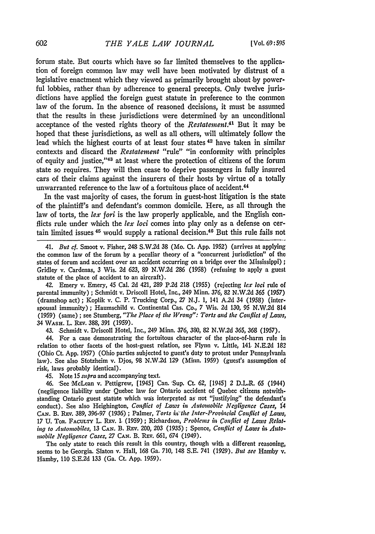forum state. But courts which have so far limited themselves to the application of foreign common law may well have been motivated **by** distrust of a legislative enactment which they viewed as primarily brought about by powerful lobbies, rather than by adherence to general precepts. Only twelve jurisdictions have applied the foreign guest statute in preference to the common law of the forum. In the absence of reasoned decisions, it must be assumed that the results in these jurisdictions were determined **'by** an unconditional acceptance of the vested rights theory of the *Restatement*.<sup>41</sup> But it may be hoped that these jurisdictions, as well as all others, will ultimately follow the lead which the highest courts of at least four states 42 have taken in similar contexts and discard the *Restatement* "rule" "in conformity with principles of equity and justice,"43 at least where the protection of citizens of the forum state so requires. They will then cease to deprive passengers in fully insured cars of their claims against the insurers of their hosts **by** virtue of a totally unwarranted reference to the law of a fortuitous place of accident.<sup>44</sup>

In the vast majority of cases, the forum in guest-host litigation is the state of the plaintiff's and defendant's common domicile. Here, as all through the law of torts, the *lex fori* is the law properly applicable, and the English conflicts rule under which the *lex loci* comes into play only as a defense on certain limited issues 45 would supply a rational decision. 40 But this rule fails not

41. *But cf.* Smoot v. Fisher, 248 S.W.2d 38 (Mo. Ct. App. 1952) (arrives at applying the common law of the forum by a peculiar theory of a "concurrent jurisdiction" of the states of forum and accident over an accident occurring on a bridge over the Mississippi); Gridley v. Cardenas, 3 Wis. 2d 623, 89 N.W.2d 286 (1958) (refusing to apply a guest statute of the place of accident to an aircraft).

42. Emery v. Emery, 45 Cal. 2d 421, 289 P.2d **218** (1955) (rejecting *lex loci* rule of parental immunity) ; Schmidt v. Driscoll Hotel, Inc., 249 Minn. 376, 82 N.W.2d *365* (1957) (dramshp act); Koplik v. **C.** P. Trucking Corp., 27 **N.J.** *1,* 141 A,2d 34 (1958) (interspousal immunity); Haumschild v. Continental Cas. Co., 7 Wis. 2d 130, **95** N.W.2d 814 **(1959)** (same); see Stumberg, *"The Place of the Wrong": Torts and the Conflict of Laws,* 34 WASH. L. Ray. 388, **391** (1959).

43. Schmidt v. Driscoll Hotel, Inc., 249 Minn. 376, 380, 82 N.W.2d 365, **368** (1957).

44. For a case demonstrating the fortuitous character of the place-of-harm rule in relation to other facets of the host-guest relation, see Flynn v. Little, 141. N.E.2d *182* (Ohio Ct. App. 1957) (Ohio parties subjected to guest's duty to protest under PennsylvanIa law). See also Stotzheim v. Djos, 98 N.W.2d 129 (Minn. 1959) (guest's assumption of risk, laws probably identical).

45. Note **15** *supra* and accompanying text.

46. -See McLean v. Pettigrew, [1945] Can. Sup. Ct. 62, [1945] 2 D.LR. 65 (1944) (negligence liability under Quebec law for Ontario accident of Quebec citizens notwithstanding Ontario guest statute which was interpreted as not "justifying" the defendant's conduct). See also Heighington, *Conflict of Laws in Automobile Negligence Cases*, 14 **CAN.** B. Ray. 389, 396-97 (1936) **;** Palmer, *Torts in the Inter-Provincial Conflict of Laws,* 17 U. Tor. FACULTY L. REV. 1 (1959); Richardson, Problems in Conflict of Laws Relating to Automobiles, 13 CAN. B. REV. 200, 203 (1935); Spence, Conflict of Laws in Auto*iiwbile Negligence Cases,* 27 **CAN.** B. Rav. 661, 674 (1949).

The only state to reach this result in this country, though with a different reasoning, seems to be Georgia. Slaton v. Hall, 168 Ga. 710, 148 S.E. 741 (1929). *But see* Hamby v. Hamby, 110 S.E.2d **133** (Ga. Ct. App. 1959).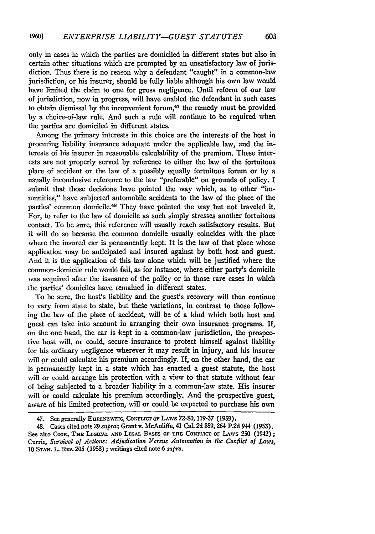only in cases in which the parties are domiciled in different states but also in certain other situations which are prompted by an unsatisfactory law of jurisdiction. Thus there is no reason why a defendant "caught" in a common-law jurisdiction, or his insurer, should be fully liable although his own law would have limited the claim to one for gross negligence. Until reform of our law of jurisdiction, now in progress, will have enabled the defendant in such cases to obtain dismissal by the inconvenient forum, $47$  the remedy must be provided by a choice-of-law rule. And such a rule will continue to be required when the parties are domiciled in different states.

Among the primary interests in this choice are the interests of the host in procuring liability insurance adequate under the applicable law, and the interests of his insurer in reasonable calculability of the premium. These interests are not properly served by reference to either the law of the fortuitous place of accident or the law of a possibly equally fortuitous forum or by a usually inconclusive reference to the law "preferable" on grounds of policy. I submit that those decisions have pointed the way which, as to other "immunities," have subjected automobile accidents to the law of the place of the parties' common domicile.<sup>48</sup> They have pointed the way but not traveled it. For, to refer to the law of domicile as such simply stresses another fortuitous contact. To be sure, this reference will usually reach satisfactory results. But it will do so because the common domicile usually coincides with the place where the insured car is permanently kept. It is the law of that place whose application may be anticipated and insured against by both host and guest. And it is the application of this law alone which will be justified where the common-domicile rule would fail, as for instance, where either party's domicile was acquired after the issuance of the policy or in those rare cases in which the parties' domiciles have remained in different states.

To be sure, the host's liability and the guest's recovery will then continue to vary from state to state, but these variations, in contrast to those following the law of the place of accident, will be of a kind which both host and guest can take into account in arranging their own insurance programs. If, on the one hand, the car is 'kept in a common-law jurisdiction, the prospective host will, or could, secure insurance to protect himself against liability for his ordinary negligence wherever it may result in injury, and his insurer will or could calculate his premium accordingly. If, on the other hand, the car is permanently kept in a state which has enacted a guest statute, the host will or could arrange his protection with a view to that statute without fear of being subjected to a broader liability in a common-law state. His insurer will or could calculate his premium accordingly. And the prospective guest, aware of his limited protection, will or could be expected to purchase his own

<sup>47.</sup> See generally **EaRmEzwEiG,** CoNFLIcr **oF** LAws *72-80,* 119-37 (1959).

<sup>48.</sup> Cases cited note **29** *=upra;* Grant v. McAuliffe, 41 Cal. **2d 859,** 264 **P.2d** 944 **(1953).** See also CooK, THE **LOGICAL AxD** LEGAL **BASES OF THE** CoiFrucr OF LAws 250 (1942); Currie, Survival of Actions: Adjudication Versus Automation in the Conflict of Laws, **10 STAN. L.** REv. 205 **(1958) ;** writings cited note 6 *mspra.*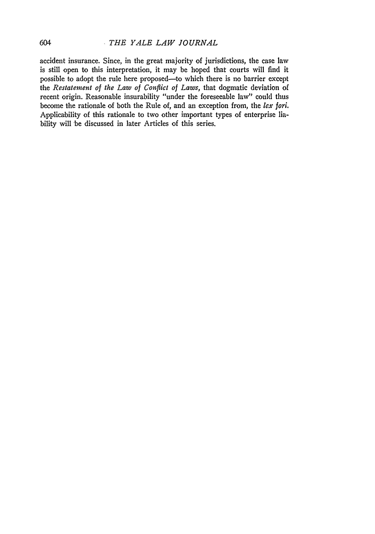accident insurance. Since, in the great majority of jurisdictions, the case law is still open to this interpretation, it may be hoped that courts will find it possible to adopt the rule here proposed-to which there is no barrier except the *Restatement of the Law of Conflict of Laws,* that dogmatic deviation of recent origin. Reasonable insurability "under the foreseeable law" could thus become the rationale of both the Rule of, and an exception from, the *lex fori.* Applicability of this rationale to two other important types of enterprise liability will be discussed in later Articles of this series.